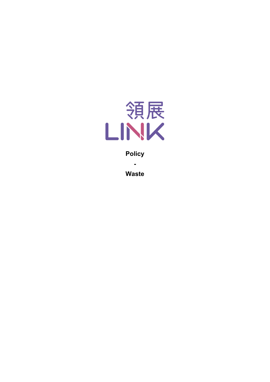

**Policy**

**Waste**

**-**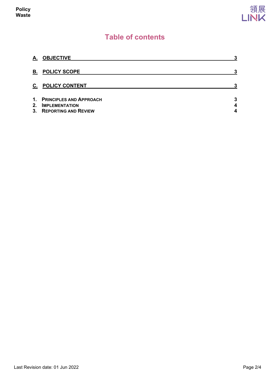

# **Table of contents**

| А. | <b>OBJECTIVE</b>                                                               | 3      |
|----|--------------------------------------------------------------------------------|--------|
| В. | <b>POLICY SCOPE</b>                                                            | 3      |
| C. | <b>POLICY CONTENT</b>                                                          | 3      |
| 2. | 1. PRINCIPLES AND APPROACH<br><b>IMPLEMENTATION</b><br>3. REPORTING AND REVIEW | 3<br>4 |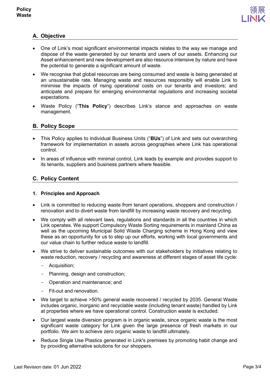

## <span id="page-2-0"></span>**A. Objective**

- One of Link's most significant environmental impacts relates to the way we manage and dispose of the waste generated by our tenants and users of our assets. Enhancing our Asset enhancement and new development are also resource intensive by nature and have the potential to generate a significant amount of waste.
- We recognise that global resources are being consumed and waste is being generated at an unsustainable rate. Managing waste and resources responsibly will enable Link to minimise the impacts of rising operational costs on our tenants and investors; and anticipate and prepare for emerging environmental regulations and increasing societal expectations.
- Waste Policy ("**This Policy**") describes Link's stance and approaches on waste management.

## <span id="page-2-1"></span>**B. Policy Scope**

- This Policy applies to individual Business Units ("**BUs**") of Link and sets out overarching framework for implementation in assets across geographies where Link has operational control.
- In areas of influence with minimal control, Link leads by example and provides support to its tenants, suppliers and business partners where feasible.

## <span id="page-2-2"></span>**C. Policy Content**

### <span id="page-2-3"></span>**1. Principles and Approach**

- Link is committed to reducing waste from tenant operations, shoppers and construction / renovation and to divert waste from landfill by increasing waste recovery and recycling.
- We comply with all relevant laws, regulations and standards in all the countries in which Link operates. We support Compulsory Waste Sorting requirements in mainland China as well as the upcoming Municipal Solid Waste Charging scheme in Hong Kong and view these as an opportunity for us to step up our efforts, working with local governments and our value chain to further reduce waste to landfill.
- We strive to deliver sustainable outcomes with our stakeholders by initiatives relating to waste reduction, recovery / recycling and awareness at different stages of asset life cycle:
	- Acquisition;
	- Planning, design and construction;
	- Operation and maintenance; and
	- Fit-out and renovation.
- We target to achieve >50% general waste recovered / recycled by 2035. General Waste includes organic, inorganic and recyclable waste (including tenant waste) handled by Link at properties where we have operational control. Construction waste is excluded.
- Our largest waste diversion program is in organic waste, since organic waste is the most significant waste category for Link given the large presence of fresh markets in our portfolio. We aim to achieve zero organic waste to landfill ultimately.
- Reduce Single Use Plastics generated in Link's premises by promoting habit change and by providing alternative solutions for our shoppers.